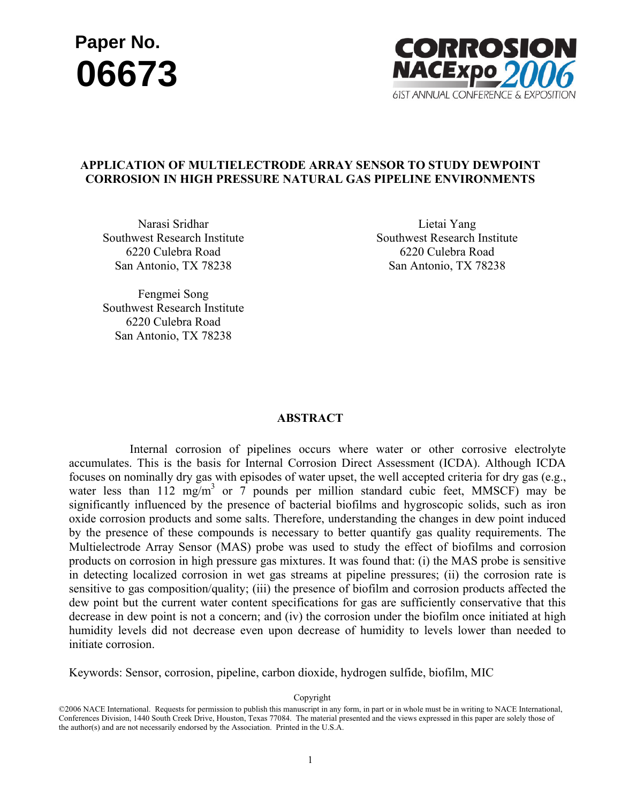# **<sup>06673</sup> Paper No.**



# **APPLICATION OF MULTIELECTRODE ARRAY SENSOR TO STUDY DEWPOINT CORROSION IN HIGH PRESSURE NATURAL GAS PIPELINE ENVIRONMENTS**

Narasi Sridhar Southwest Research Institute 6220 Culebra Road San Antonio, TX 78238

Lietai Yang Southwest Research Institute 6220 Culebra Road San Antonio, TX 78238

Fengmei Song Southwest Research Institute 6220 Culebra Road San Antonio, TX 78238

#### **ABSTRACT**

 Internal corrosion of pipelines occurs where water or other corrosive electrolyte accumulates. This is the basis for Internal Corrosion Direct Assessment (ICDA). Although ICDA focuses on nominally dry gas with episodes of water upset, the well accepted criteria for dry gas (e.g., water less than  $112 \text{ mg/m}^3$  or 7 pounds per million standard cubic feet, MMSCF) may be significantly influenced by the presence of bacterial biofilms and hygroscopic solids, such as iron oxide corrosion products and some salts. Therefore, understanding the changes in dew point induced by the presence of these compounds is necessary to better quantify gas quality requirements. The Multielectrode Array Sensor (MAS) probe was used to study the effect of biofilms and corrosion products on corrosion in high pressure gas mixtures. It was found that: (i) the MAS probe is sensitive in detecting localized corrosion in wet gas streams at pipeline pressures; (ii) the corrosion rate is sensitive to gas composition/quality; (iii) the presence of biofilm and corrosion products affected the dew point but the current water content specifications for gas are sufficiently conservative that this decrease in dew point is not a concern; and (iv) the corrosion under the biofilm once initiated at high humidity levels did not decrease even upon decrease of humidity to levels lower than needed to initiate corrosion.

Keywords: Sensor, corrosion, pipeline, carbon dioxide, hydrogen sulfide, biofilm, MIC

<sup>©2006</sup> NACE International. Requests for permission to publish this manuscript in any form, in part or in whole must be in writing to NACE International, Conferences Division, 1440 South Creek Drive, Houston, Texas 77084. The material presented and the views expressed in this paper are solely those of C0006 NACE International. Requests for permission to publish this manuscript in any<br>Conferences Division, 1440 South Creek Drive, Houston, Texas 77084. The material p<br>the author(s) and are not necessarily endorsed by the A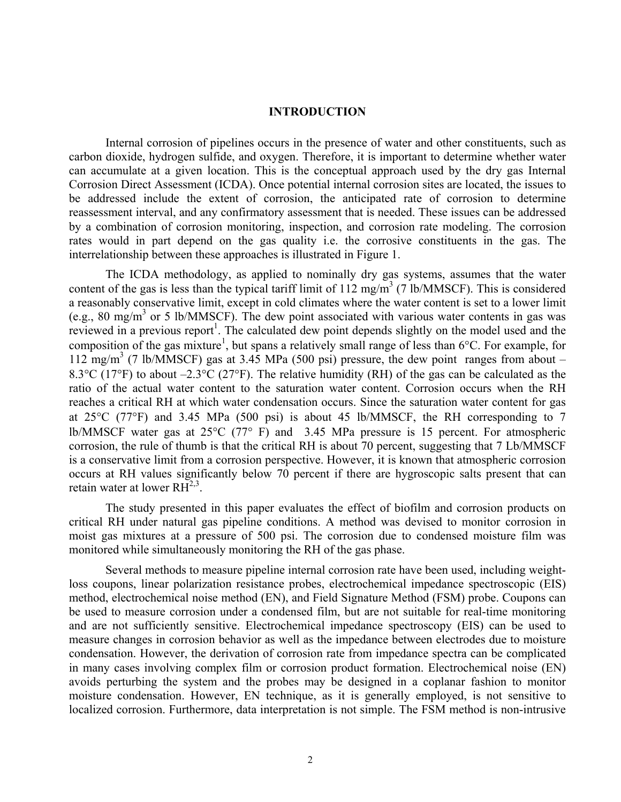# **INTRODUCTION**

Internal corrosion of pipelines occurs in the presence of water and other constituents, such as carbon dioxide, hydrogen sulfide, and oxygen. Therefore, it is important to determine whether water can accumulate at a given location. This is the conceptual approach used by the dry gas Internal Corrosion Direct Assessment (ICDA). Once potential internal corrosion sites are located, the issues to be addressed include the extent of corrosion, the anticipated rate of corrosion to determine reassessment interval, and any confirmatory assessment that is needed. These issues can be addressed by a combination of corrosion monitoring, inspection, and corrosion rate modeling. The corrosion rates would in part depend on the gas quality i.e. the corrosive constituents in the gas. The interrelationship between these approaches is illustrated in Figure 1.

The ICDA methodology, as applied to nominally dry gas systems, assumes that the water content of the gas is less than the typical tariff limit of  $112 \text{ mg/m}^3$  (7 lb/MMSCF). This is considered a reasonably conservative limit, except in cold climates where the water content is set to a lower limit (e.g., 80 mg/m<sup>3</sup> or 5 lb/MMSCF). The dew point associated with various water contents in gas was reviewed in a previous report<sup>1</sup>. The calculated dew point depends slightly on the model used and the composition of the gas mixture<sup>1</sup>, but spans a relatively small range of less than  $6^{\circ}$ C. For example, for 112 mg/m3 (7 lb/MMSCF) gas at 3.45 MPa (500 psi) pressure, the dew point ranges from about – 8.3°C (17°F) to about –2.3°C (27°F). The relative humidity (RH) of the gas can be calculated as the ratio of the actual water content to the saturation water content. Corrosion occurs when the RH reaches a critical RH at which water condensation occurs. Since the saturation water content for gas at 25°C (77°F) and 3.45 MPa (500 psi) is about 45 lb/MMSCF, the RH corresponding to 7 lb/MMSCF water gas at 25°C (77° F) and 3.45 MPa pressure is 15 percent. For atmospheric corrosion, the rule of thumb is that the critical RH is about 70 percent, suggesting that 7 Lb/MMSCF is a conservative limit from a corrosion perspective. However, it is known that atmospheric corrosion occurs at RH values significantly below 70 percent if there are hygroscopic salts present that can retain water at lower  $RH^{2,3}$ .

The study presented in this paper evaluates the effect of biofilm and corrosion products on critical RH under natural gas pipeline conditions. A method was devised to monitor corrosion in moist gas mixtures at a pressure of 500 psi. The corrosion due to condensed moisture film was monitored while simultaneously monitoring the RH of the gas phase.

Several methods to measure pipeline internal corrosion rate have been used, including weightloss coupons, linear polarization resistance probes, electrochemical impedance spectroscopic (EIS) method, electrochemical noise method (EN), and Field Signature Method (FSM) probe. Coupons can be used to measure corrosion under a condensed film, but are not suitable for real-time monitoring and are not sufficiently sensitive. Electrochemical impedance spectroscopy (EIS) can be used to measure changes in corrosion behavior as well as the impedance between electrodes due to moisture condensation. However, the derivation of corrosion rate from impedance spectra can be complicated in many cases involving complex film or corrosion product formation. Electrochemical noise (EN) avoids perturbing the system and the probes may be designed in a coplanar fashion to monitor moisture condensation. However, EN technique, as it is generally employed, is not sensitive to localized corrosion. Furthermore, data interpretation is not simple. The FSM method is non-intrusive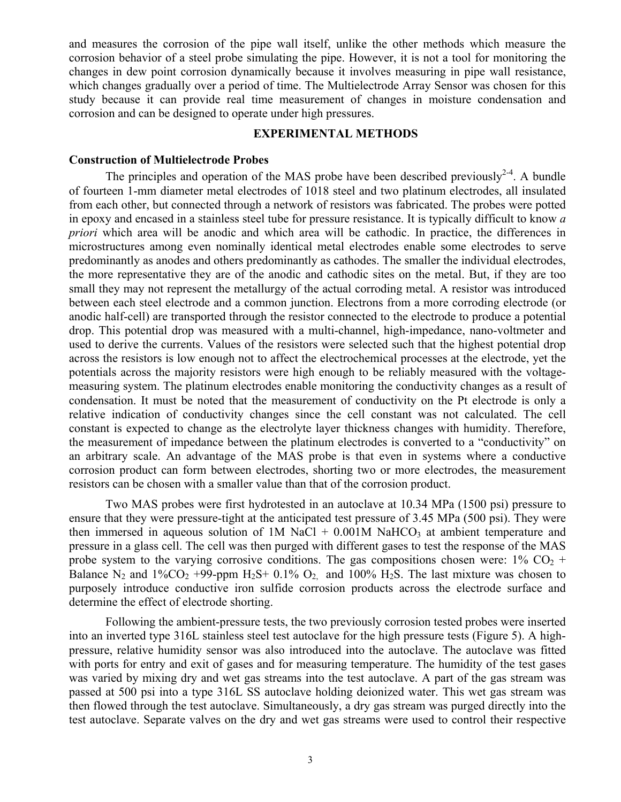and measures the corrosion of the pipe wall itself, unlike the other methods which measure the corrosion behavior of a steel probe simulating the pipe. However, it is not a tool for monitoring the changes in dew point corrosion dynamically because it involves measuring in pipe wall resistance, which changes gradually over a period of time. The Multielectrode Array Sensor was chosen for this study because it can provide real time measurement of changes in moisture condensation and corrosion and can be designed to operate under high pressures.

# **EXPERIMENTAL METHODS**

#### **Construction of Multielectrode Probes**

The principles and operation of the MAS probe have been described previously<sup>2-4</sup>. A bundle of fourteen 1-mm diameter metal electrodes of 1018 steel and two platinum electrodes, all insulated from each other, but connected through a network of resistors was fabricated. The probes were potted in epoxy and encased in a stainless steel tube for pressure resistance. It is typically difficult to know *a priori* which area will be anodic and which area will be cathodic. In practice, the differences in microstructures among even nominally identical metal electrodes enable some electrodes to serve predominantly as anodes and others predominantly as cathodes. The smaller the individual electrodes, the more representative they are of the anodic and cathodic sites on the metal. But, if they are too small they may not represent the metallurgy of the actual corroding metal. A resistor was introduced between each steel electrode and a common junction. Electrons from a more corroding electrode (or anodic half-cell) are transported through the resistor connected to the electrode to produce a potential drop. This potential drop was measured with a multi-channel, high-impedance, nano-voltmeter and used to derive the currents. Values of the resistors were selected such that the highest potential drop across the resistors is low enough not to affect the electrochemical processes at the electrode, yet the potentials across the majority resistors were high enough to be reliably measured with the voltagemeasuring system. The platinum electrodes enable monitoring the conductivity changes as a result of condensation. It must be noted that the measurement of conductivity on the Pt electrode is only a relative indication of conductivity changes since the cell constant was not calculated. The cell constant is expected to change as the electrolyte layer thickness changes with humidity. Therefore, the measurement of impedance between the platinum electrodes is converted to a "conductivity" on an arbitrary scale. An advantage of the MAS probe is that even in systems where a conductive corrosion product can form between electrodes, shorting two or more electrodes, the measurement resistors can be chosen with a smaller value than that of the corrosion product.

Two MAS probes were first hydrotested in an autoclave at 10.34 MPa (1500 psi) pressure to ensure that they were pressure-tight at the anticipated test pressure of 3.45 MPa (500 psi). They were then immersed in aqueous solution of  $1M$  NaCl + 0.001M NaHCO<sub>3</sub> at ambient temperature and pressure in a glass cell. The cell was then purged with different gases to test the response of the MAS probe system to the varying corrosive conditions. The gas compositions chosen were:  $1\%$  CO<sub>2</sub> + Balance N<sub>2</sub> and  $1\%CO_2$  +99-ppm H<sub>2</sub>S+ 0.1% O<sub>2</sub> and 100% H<sub>2</sub>S. The last mixture was chosen to purposely introduce conductive iron sulfide corrosion products across the electrode surface and determine the effect of electrode shorting.

Following the ambient-pressure tests, the two previously corrosion tested probes were inserted into an inverted type 316L stainless steel test autoclave for the high pressure tests (Figure 5). A highpressure, relative humidity sensor was also introduced into the autoclave. The autoclave was fitted with ports for entry and exit of gases and for measuring temperature. The humidity of the test gases was varied by mixing dry and wet gas streams into the test autoclave. A part of the gas stream was passed at 500 psi into a type 316L SS autoclave holding deionized water. This wet gas stream was then flowed through the test autoclave. Simultaneously, a dry gas stream was purged directly into the test autoclave. Separate valves on the dry and wet gas streams were used to control their respective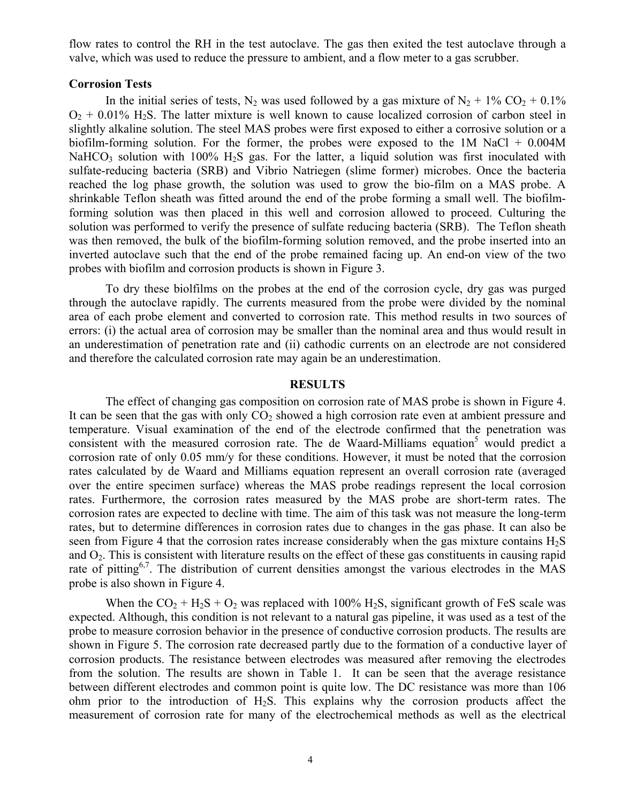flow rates to control the RH in the test autoclave. The gas then exited the test autoclave through a valve, which was used to reduce the pressure to ambient, and a flow meter to a gas scrubber.

### **Corrosion Tests**

In the initial series of tests, N<sub>2</sub> was used followed by a gas mixture of N<sub>2</sub> + 1% CO<sub>2</sub> + 0.1%  $O<sub>2</sub> + 0.01\%$  H<sub>2</sub>S. The latter mixture is well known to cause localized corrosion of carbon steel in slightly alkaline solution. The steel MAS probes were first exposed to either a corrosive solution or a biofilm-forming solution. For the former, the probes were exposed to the 1M NaCl + 0.004M NaHCO<sub>3</sub> solution with 100% H<sub>2</sub>S gas. For the latter, a liquid solution was first inoculated with sulfate-reducing bacteria (SRB) and Vibrio Natriegen (slime former) microbes. Once the bacteria reached the log phase growth, the solution was used to grow the bio-film on a MAS probe. A shrinkable Teflon sheath was fitted around the end of the probe forming a small well. The biofilmforming solution was then placed in this well and corrosion allowed to proceed. Culturing the solution was performed to verify the presence of sulfate reducing bacteria (SRB). The Teflon sheath was then removed, the bulk of the biofilm-forming solution removed, and the probe inserted into an inverted autoclave such that the end of the probe remained facing up. An end-on view of the two probes with biofilm and corrosion products is shown in Figure 3.

To dry these biolfilms on the probes at the end of the corrosion cycle, dry gas was purged through the autoclave rapidly. The currents measured from the probe were divided by the nominal area of each probe element and converted to corrosion rate. This method results in two sources of errors: (i) the actual area of corrosion may be smaller than the nominal area and thus would result in an underestimation of penetration rate and (ii) cathodic currents on an electrode are not considered and therefore the calculated corrosion rate may again be an underestimation.

# **RESULTS**

The effect of changing gas composition on corrosion rate of MAS probe is shown in Figure 4. It can be seen that the gas with only  $CO<sub>2</sub>$  showed a high corrosion rate even at ambient pressure and temperature. Visual examination of the end of the electrode confirmed that the penetration was consistent with the measured corrosion rate. The de Waard-Milliams equation<sup>5</sup> would predict a corrosion rate of only 0.05 mm/y for these conditions. However, it must be noted that the corrosion rates calculated by de Waard and Milliams equation represent an overall corrosion rate (averaged over the entire specimen surface) whereas the MAS probe readings represent the local corrosion rates. Furthermore, the corrosion rates measured by the MAS probe are short-term rates. The corrosion rates are expected to decline with time. The aim of this task was not measure the long-term rates, but to determine differences in corrosion rates due to changes in the gas phase. It can also be seen from Figure 4 that the corrosion rates increase considerably when the gas mixture contains  $H_2S$ and  $O_2$ . This is consistent with literature results on the effect of these gas constituents in causing rapid rate of pitting<sup>6,7</sup>. The distribution of current densities amongst the various electrodes in the MAS probe is also shown in Figure 4.

When the  $CO_2 + H_2S + O_2$  was replaced with 100% H<sub>2</sub>S, significant growth of FeS scale was expected. Although, this condition is not relevant to a natural gas pipeline, it was used as a test of the probe to measure corrosion behavior in the presence of conductive corrosion products. The results are shown in Figure 5. The corrosion rate decreased partly due to the formation of a conductive layer of corrosion products. The resistance between electrodes was measured after removing the electrodes from the solution. The results are shown in Table 1. It can be seen that the average resistance between different electrodes and common point is quite low. The DC resistance was more than 106 ohm prior to the introduction of  $H_2S$ . This explains why the corrosion products affect the measurement of corrosion rate for many of the electrochemical methods as well as the electrical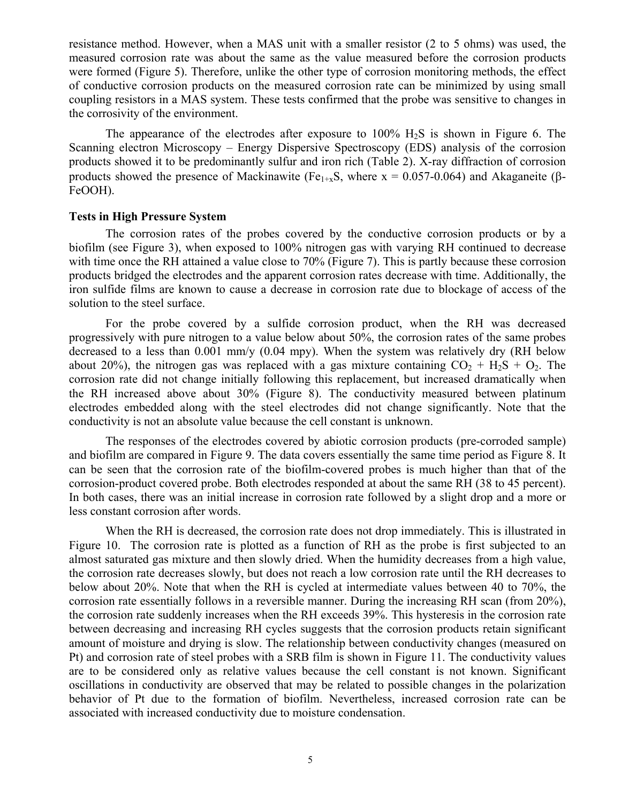resistance method. However, when a MAS unit with a smaller resistor (2 to 5 ohms) was used, the measured corrosion rate was about the same as the value measured before the corrosion products were formed (Figure 5). Therefore, unlike the other type of corrosion monitoring methods, the effect of conductive corrosion products on the measured corrosion rate can be minimized by using small coupling resistors in a MAS system. These tests confirmed that the probe was sensitive to changes in the corrosivity of the environment.

The appearance of the electrodes after exposure to  $100\%$   $H_2S$  is shown in Figure 6. The Scanning electron Microscopy – Energy Dispersive Spectroscopy (EDS) analysis of the corrosion products showed it to be predominantly sulfur and iron rich (Table 2). X-ray diffraction of corrosion products showed the presence of Mackinawite (Fe<sub>1+x</sub>S, where  $x = 0.057 - 0.064$ ) and Akaganeite ( $\beta$ -FeOOH).

# **Tests in High Pressure System**

The corrosion rates of the probes covered by the conductive corrosion products or by a biofilm (see Figure 3), when exposed to 100% nitrogen gas with varying RH continued to decrease with time once the RH attained a value close to 70% (Figure 7). This is partly because these corrosion products bridged the electrodes and the apparent corrosion rates decrease with time. Additionally, the iron sulfide films are known to cause a decrease in corrosion rate due to blockage of access of the solution to the steel surface.

For the probe covered by a sulfide corrosion product, when the RH was decreased progressively with pure nitrogen to a value below about 50%, the corrosion rates of the same probes decreased to a less than 0.001 mm/y (0.04 mpy). When the system was relatively dry (RH below about 20%), the nitrogen gas was replaced with a gas mixture containing  $CO_2 + H_2S + O_2$ . The corrosion rate did not change initially following this replacement, but increased dramatically when the RH increased above about 30% (Figure 8). The conductivity measured between platinum electrodes embedded along with the steel electrodes did not change significantly. Note that the conductivity is not an absolute value because the cell constant is unknown.

The responses of the electrodes covered by abiotic corrosion products (pre-corroded sample) and biofilm are compared in Figure 9. The data covers essentially the same time period as Figure 8. It can be seen that the corrosion rate of the biofilm-covered probes is much higher than that of the corrosion-product covered probe. Both electrodes responded at about the same RH (38 to 45 percent). In both cases, there was an initial increase in corrosion rate followed by a slight drop and a more or less constant corrosion after words.

When the RH is decreased, the corrosion rate does not drop immediately. This is illustrated in Figure 10. The corrosion rate is plotted as a function of RH as the probe is first subjected to an almost saturated gas mixture and then slowly dried. When the humidity decreases from a high value, the corrosion rate decreases slowly, but does not reach a low corrosion rate until the RH decreases to below about 20%. Note that when the RH is cycled at intermediate values between 40 to 70%, the corrosion rate essentially follows in a reversible manner. During the increasing RH scan (from 20%), the corrosion rate suddenly increases when the RH exceeds 39%. This hysteresis in the corrosion rate between decreasing and increasing RH cycles suggests that the corrosion products retain significant amount of moisture and drying is slow. The relationship between conductivity changes (measured on Pt) and corrosion rate of steel probes with a SRB film is shown in Figure 11. The conductivity values are to be considered only as relative values because the cell constant is not known. Significant oscillations in conductivity are observed that may be related to possible changes in the polarization behavior of Pt due to the formation of biofilm. Nevertheless, increased corrosion rate can be associated with increased conductivity due to moisture condensation.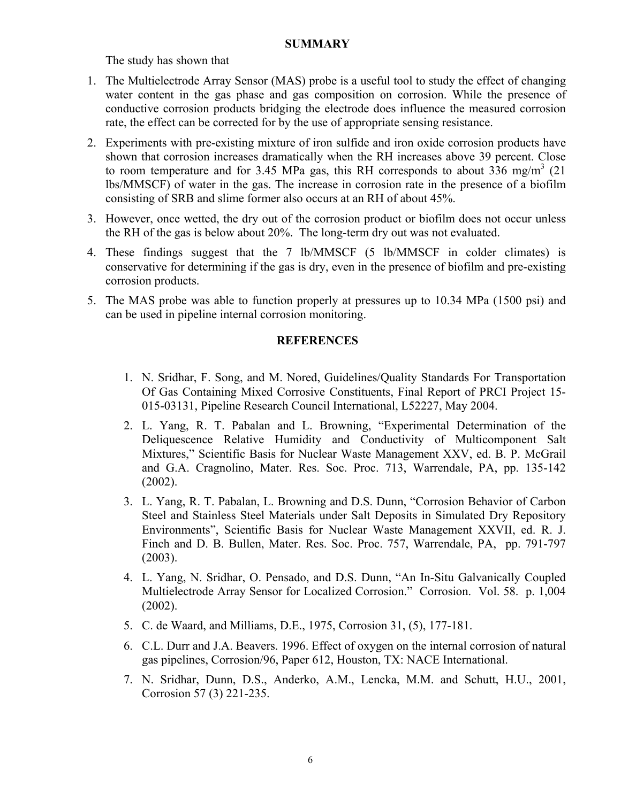# **SUMMARY**

The study has shown that

- 1. The Multielectrode Array Sensor (MAS) probe is a useful tool to study the effect of changing water content in the gas phase and gas composition on corrosion. While the presence of conductive corrosion products bridging the electrode does influence the measured corrosion rate, the effect can be corrected for by the use of appropriate sensing resistance.
- 2. Experiments with pre-existing mixture of iron sulfide and iron oxide corrosion products have shown that corrosion increases dramatically when the RH increases above 39 percent. Close to room temperature and for 3.45 MPa gas, this RH corresponds to about  $336$  mg/m<sup>3</sup> (21) lbs/MMSCF) of water in the gas. The increase in corrosion rate in the presence of a biofilm consisting of SRB and slime former also occurs at an RH of about 45%.
- 3. However, once wetted, the dry out of the corrosion product or biofilm does not occur unless the RH of the gas is below about 20%. The long-term dry out was not evaluated.
- 4. These findings suggest that the 7 lb/MMSCF (5 lb/MMSCF in colder climates) is conservative for determining if the gas is dry, even in the presence of biofilm and pre-existing corrosion products.
- 5. The MAS probe was able to function properly at pressures up to 10.34 MPa (1500 psi) and can be used in pipeline internal corrosion monitoring.

# **REFERENCES**

- 1. N. Sridhar, F. Song, and M. Nored, Guidelines/Quality Standards For Transportation Of Gas Containing Mixed Corrosive Constituents, Final Report of PRCI Project 15- 015-03131, Pipeline Research Council International, L52227, May 2004.
- 2. L. Yang, R. T. Pabalan and L. Browning, "Experimental Determination of the Deliquescence Relative Humidity and Conductivity of Multicomponent Salt Mixtures," Scientific Basis for Nuclear Waste Management XXV, ed. B. P. McGrail and G.A. Cragnolino, Mater. Res. Soc. Proc. 713, Warrendale, PA, pp. 135-142 (2002).
- 3. L. Yang, R. T. Pabalan, L. Browning and D.S. Dunn, "Corrosion Behavior of Carbon Steel and Stainless Steel Materials under Salt Deposits in Simulated Dry Repository Environments", Scientific Basis for Nuclear Waste Management XXVII, ed. R. J. Finch and D. B. Bullen, Mater. Res. Soc. Proc. 757, Warrendale, PA, pp. 791-797 (2003).
- 4. L. Yang, N. Sridhar, O. Pensado, and D.S. Dunn, "An In-Situ Galvanically Coupled Multielectrode Array Sensor for Localized Corrosion." Corrosion. Vol. 58. p. 1,004 (2002).
- 5. C. de Waard, and Milliams, D.E., 1975, Corrosion 31, (5), 177-181.
- 6. C.L. Durr and J.A. Beavers. 1996. Effect of oxygen on the internal corrosion of natural gas pipelines, Corrosion/96, Paper 612, Houston, TX: NACE International.
- 7. N. Sridhar, Dunn, D.S., Anderko, A.M., Lencka, M.M. and Schutt, H.U., 2001, Corrosion 57 (3) 221-235.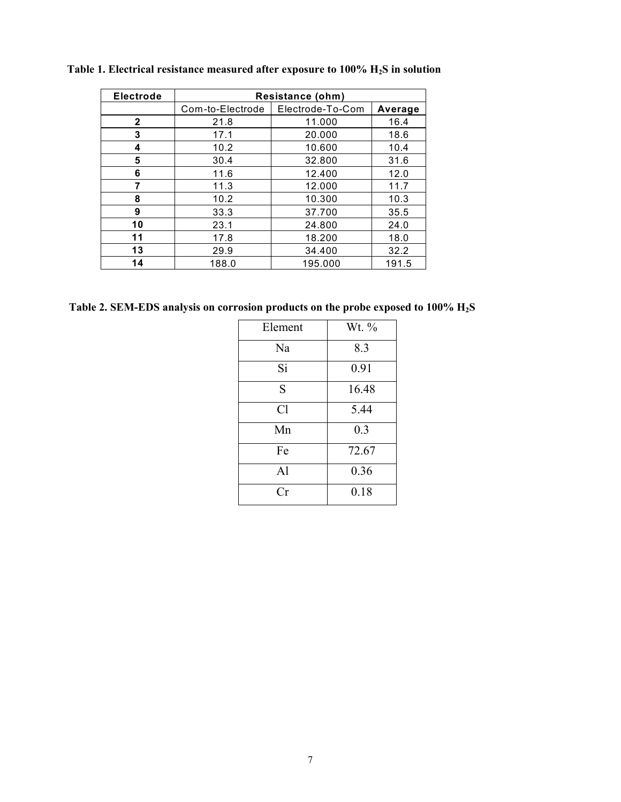| Electrode    | Resistance (ohm) |                  |         |
|--------------|------------------|------------------|---------|
|              | Com-to-Electrode | Electrode-To-Com | Average |
| $\mathbf{2}$ | 21.8             | 11.000           | 16.4    |
| 3            | 17.1             | 20.000           | 18.6    |
| 4            | 10.2             | 10.600           | 10.4    |
| 5            | 30.4             | 32.800           | 31.6    |
| 6            | 11.6             | 12.400           | 12.0    |
| 7            | 11.3             | 12.000           | 11.7    |
| 8            | 10.2             | 10.300           | 10.3    |
| 9            | 33.3             | 37.700           | 35.5    |
| 10           | 23.1             | 24.800           | 24.0    |
| 11           | 17.8             | 18.200           | 18.0    |
| 13           | 29.9             | 34.400           | 32.2    |
| 14           | 188.0            | 195.000          | 191.5   |

Table 1. Electrical resistance measured after exposure to 100% H<sub>2</sub>S in solution

**Table 2. SEM-EDS analysis on corrosion products on the probe exposed to 100% H2S** 

| Element        | Wt. $\%$ |  |
|----------------|----------|--|
| Na             | 8.3      |  |
| Si             | 0.91     |  |
| S              | 16.48    |  |
| Cl             | 5.44     |  |
| Mn             | 0.3      |  |
| Fe             | 72.67    |  |
| A <sup>1</sup> | 0.36     |  |
| Сr             | 0.18     |  |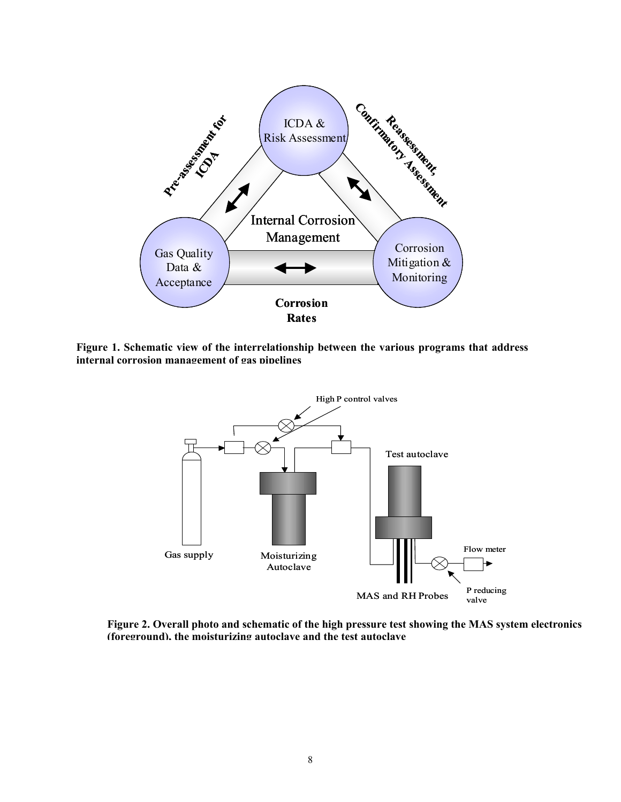

**Figure 1. Schematic view of the interrelationship between the various programs that address internal corrosion management of gas pipelines**



**Figure 2. Overall photo and schematic of the high pressure test showing the MAS system electronics (foreground), the moisturizing autoclave and the test autoclave**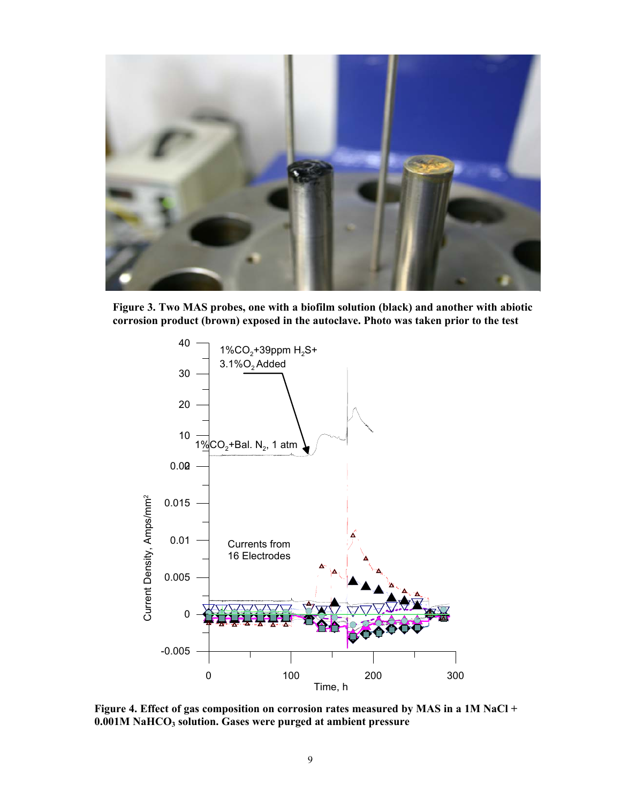

**Figure 3. Two MAS probes, one with a biofilm solution (black) and another with abiotic corrosion product (brown) exposed in the autoclave. Photo was taken prior to the test** 



**Figure 4. Effect of gas composition on corrosion rates measured by MAS in a 1M NaCl + 0.001M NaHCO3 solution. Gases were purged at ambient pressure**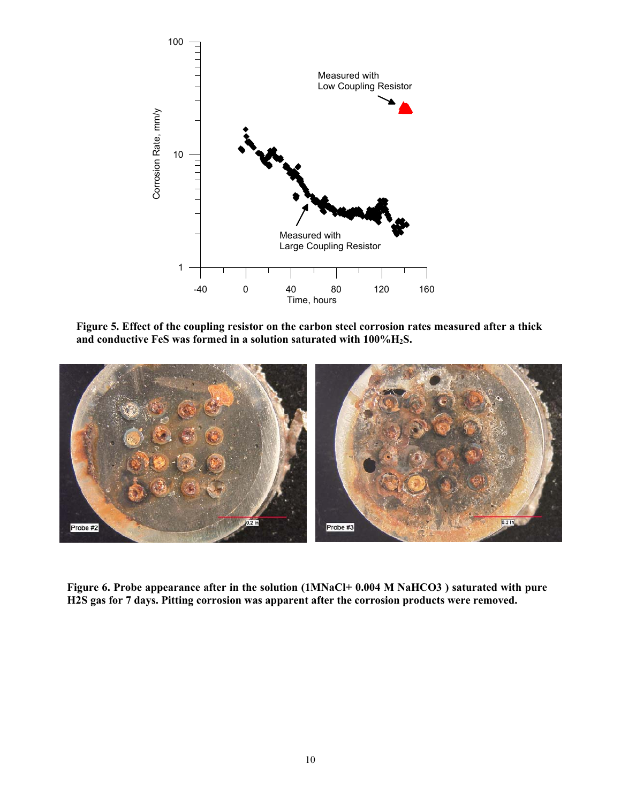

**Figure 5. Effect of the coupling resistor on the carbon steel corrosion rates measured after a thick and conductive FeS was formed in a solution saturated with 100%H2S.** 



**Figure 6. Probe appearance after in the solution (1MNaCl+ 0.004 M NaHCO3 ) saturated with pure H2S gas for 7 days. Pitting corrosion was apparent after the corrosion products were removed.**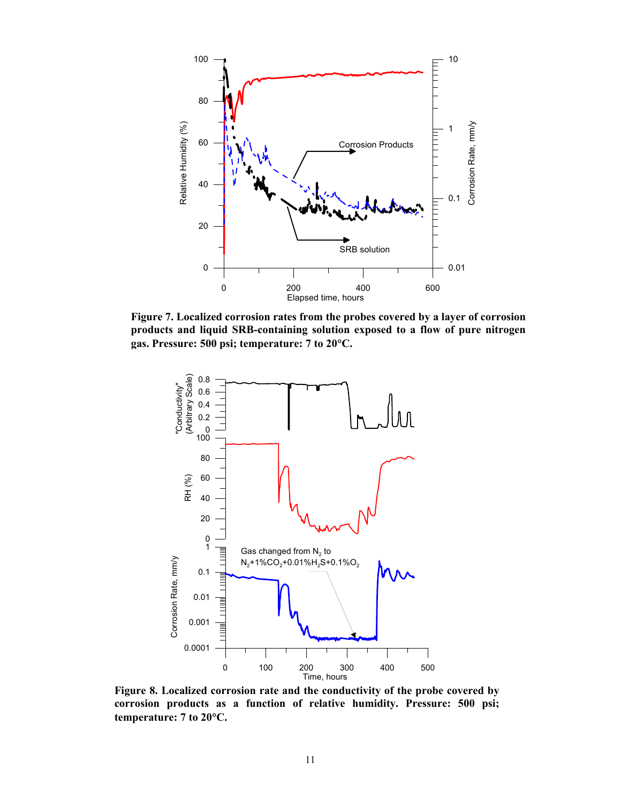

**Figure 7. Localized corrosion rates from the probes covered by a layer of corrosion products and liquid SRB-containing solution exposed to a flow of pure nitrogen gas. Pressure: 500 psi; temperature: 7 to 20**°**C.**



**Figure 8. Localized corrosion rate and the conductivity of the probe covered by corrosion products as a function of relative humidity. Pressure: 500 psi; temperature: 7 to 20**°**C.**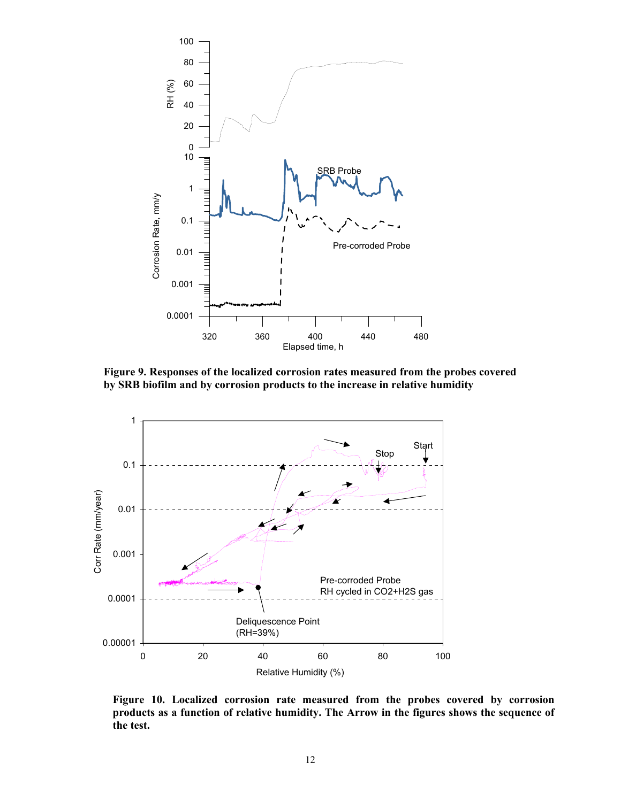

**Figure 9. Responses of the localized corrosion rates measured from the probes covered by SRB biofilm and by corrosion products to the increase in relative humidity** 



**Figure 10. Localized corrosion rate measured from the probes covered by corrosion products as a function of relative humidity. The Arrow in the figures shows the sequence of the test.**